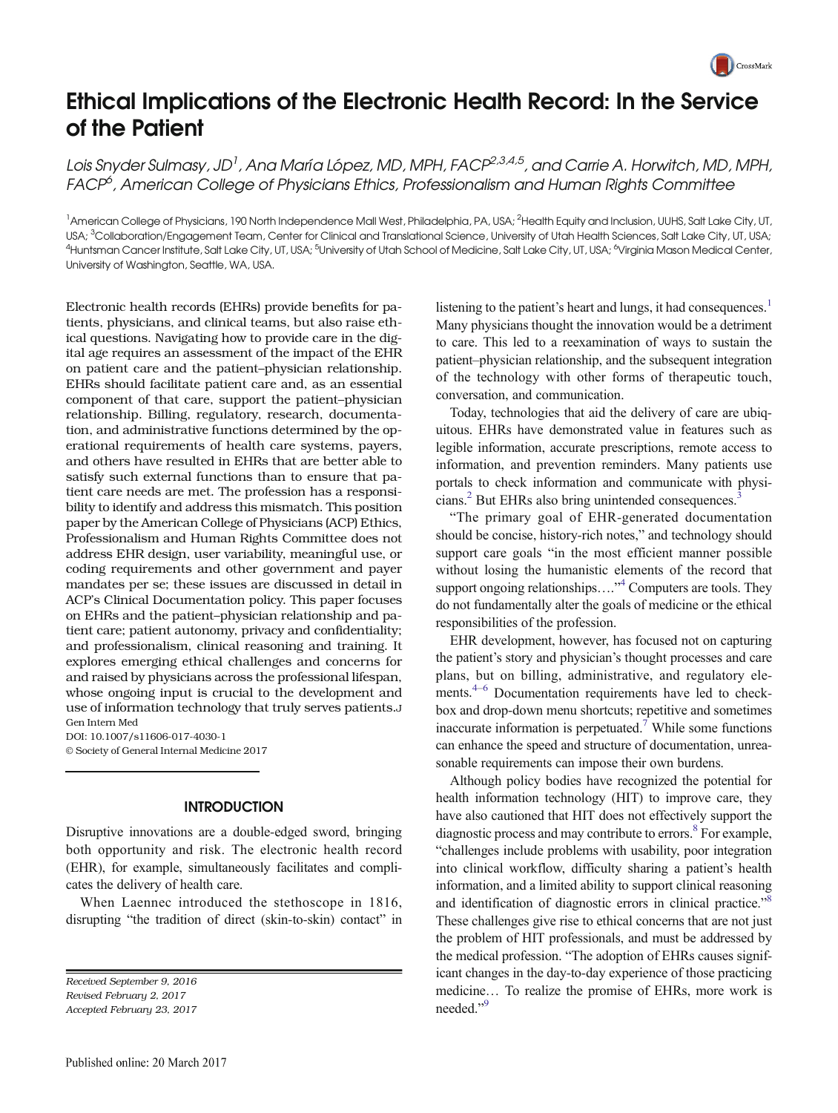

# Ethical Implications of the Electronic Health Record: In the Service of the Patient

Lois Snyder Sulmasy, JD<sup>1</sup> , Ana María López, MD, MPH, FACP<sup>2,3,4,5</sup> , and Carrie A. Horwitch, MD, MPH, FACP<sup>6</sup>, American College of Physicians Ethics, Professionalism and Human Rights Committee

<sup>1</sup>American College of Physicians, 190 North Independence Mall West, Philadelphia, PA, USA; <sup>2</sup>Health Equity and Inclusion, UUHS, Salt Lake City, UT, USA; <sup>3</sup>Collaboration/Engagement Team, Center for Clinical and Translational Science, University of Utah Health Sciences, Salt Lake City, UT, USA; <sup>4</sup>Huntsman Cancer Institute, Salt Lake City, UT, USA; <sup>5</sup>University of Utah School of Medicine, Salt Lake City, UT, USA; <sup>6</sup>Virginia Mason Medical Center, University of Washington, Seattle, WA, USA.

Electronic health records (EHRs) provide benefits for patients, physicians, and clinical teams, but also raise ethical questions. Navigating how to provide care in the digital age requires an assessment of the impact of the EHR on patient care and the patient–physician relationship. EHRs should facilitate patient care and, as an essential component of that care, support the patient–physician relationship. Billing, regulatory, research, documentation, and administrative functions determined by the operational requirements of health care systems, payers, and others have resulted in EHRs that are better able to satisfy such external functions than to ensure that patient care needs are met. The profession has a responsibility to identify and address this mismatch. This position paper by the American College of Physicians (ACP) Ethics, Professionalism and Human Rights Committee does not address EHR design, user variability, meaningful use, or coding requirements and other government and payer mandates per se; these issues are discussed in detail in ACP's Clinical Documentation policy. This paper focuses on EHRs and the patient–physician relationship and patient care; patient autonomy, privacy and confidentiality; and professionalism, clinical reasoning and training. It explores emerging ethical challenges and concerns for and raised by physicians across the professional lifespan, whose ongoing input is crucial to the development and use of information technology that truly serves patients.J Gen Intern Med

DOI: 10.1007/s11606-017-4030-1 © Society of General Internal Medicine 2017

## INTRODUCTION

Disruptive innovations are a double-edged sword, bringing both opportunity and risk. The electronic health record (EHR), for example, simultaneously facilitates and complicates the delivery of health care.

When Laennec introduced the stethoscope in 1816, disrupting "the tradition of direct (skin-to-skin) contact" in

Received September 9, 2016 Revised February 2, 2017 Accepted February 23, 2017

listening to the patient's heart and lungs, it had consequences.<sup>1</sup> Many physicians thought the innovation would be a detriment to care. This led to a reexamination of ways to sustain the patient–physician relationship, and the subsequent integration of the technology with other forms of therapeutic touch, conversation, and communication.

Today, technologies that aid the delivery of care are ubiquitous. EHRs have demonstrated value in features such as legible information, accurate prescriptions, remote access to information, and prevention reminders. Many patients use portals to check information and communicate with physicians.<sup>2</sup> But EHRs also bring unintended consequences.<sup>3</sup>

"The primary goal of EHR-generated documentation should be concise, history-rich notes," and technology should support care goals "in the most efficient manner possible without losing the humanistic elements of the record that support ongoing relationships...."<sup>[4](#page-4-0)</sup> Computers are tools. They do not fundamentally alter the goals of medicine or the ethical responsibilities of the profession.

EHR development, however, has focused not on capturing the patient's story and physician's thought processes and care plans, but on billing, administrative, and regulatory ele-ments.<sup>[4](#page-4-0)–[6](#page-4-0)</sup> Documentation requirements have led to checkbox and drop-down menu shortcuts; repetitive and sometimes inaccurate information is perpetuated.<sup>[7](#page-4-0)</sup> While some functions can enhance the speed and structure of documentation, unreasonable requirements can impose their own burdens.

Although policy bodies have recognized the potential for health information technology (HIT) to improve care, they have also cautioned that HIT does not effectively support the diagnostic process and may contribute to errors.<sup>[8](#page-4-0)</sup> For example, "challenges include problems with usability, poor integration into clinical workflow, difficulty sharing a patient's health information, and a limited ability to support clinical reasoning and identification of diagnostic errors in clinical practice."<sup>[8](#page-4-0)</sup> These challenges give rise to ethical concerns that are not just the problem of HIT professionals, and must be addressed by the medical profession. "The adoption of EHRs causes significant changes in the day-to-day experience of those practicing medicine… To realize the promise of EHRs, more work is needed."<sup>[9](#page-4-0)</sup>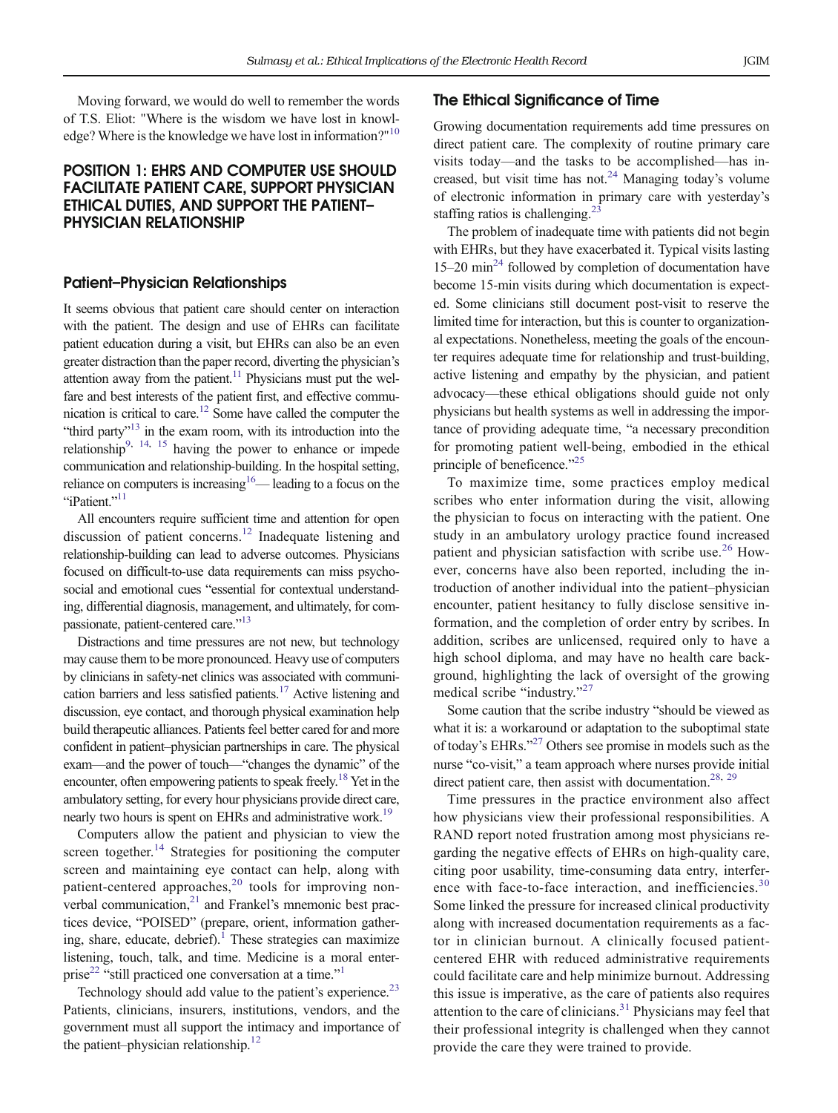Moving forward, we would do well to remember the words of T.S. Eliot: "Where is the wisdom we have lost in knowl-edge? Where is the knowledge we have lost in information?"<sup>[10](#page-4-0)</sup>

# POSITION 1: EHRS AND COMPUTER USE SHOULD FACILITATE PATIENT CARE, SUPPORT PHYSICIAN ETHICAL DUTIES, AND SUPPORT THE PATIENT– PHYSICIAN RELATIONSHIP

## Patient–Physician Relationships

It seems obvious that patient care should center on interaction with the patient. The design and use of EHRs can facilitate patient education during a visit, but EHRs can also be an even greater distraction than the paper record, diverting the physician's attention away from the patient.<sup>11</sup> Physicians must put the welfare and best interests of the patient first, and effective communication is critical to care[.12](#page-4-0) Some have called the computer the "third party"<sup>[13](#page-4-0)</sup> in the exam room, with its introduction into the relationship<sup>9, [14,](#page-4-0) [15](#page-4-0)</sup> having the power to enhance or impede communication and relationship-building. In the hospital setting, reliance on computers is increasing<sup>[16](#page-4-0)</sup>— leading to a focus on the "iPatient."<sup>[11](#page-4-0)</sup>

All encounters require sufficient time and attention for open discussion of patient concerns[.12](#page-4-0) Inadequate listening and relationship-building can lead to adverse outcomes. Physicians focused on difficult-to-use data requirements can miss psychosocial and emotional cues "essential for contextual understanding, differential diagnosis, management, and ultimately, for com-passionate, patient-centered care."<sup>[13](#page-4-0)</sup>

Distractions and time pressures are not new, but technology may cause them to be more pronounced. Heavy use of computers by clinicians in safety-net clinics was associated with communication barriers and less satisfied patients[.17](#page-4-0) Active listening and discussion, eye contact, and thorough physical examination help build therapeutic alliances. Patients feel better cared for and more confident in patient–physician partnerships in care. The physical exam—and the power of touch—"changes the dynamic" of the encounter, often empowering patients to speak freely.<sup>18</sup> Yet in the ambulatory setting, for every hour physicians provide direct care, nearly two hours is spent on EHRs and administrative work.<sup>19</sup>

Computers allow the patient and physician to view the screen together. $14$  Strategies for positioning the computer screen and maintaining eye contact can help, along with patient-centered approaches, $20$  tools for improving nonverbal communication, $21$  and Frankel's mnemonic best practices device, "POISED" (prepare, orient, information gathering, share, educate, debrief). $\frac{1}{1}$  $\frac{1}{1}$  $\frac{1}{1}$  These strategies can maximize listening, touch, talk, and time. Medicine is a moral enter-prise<sup>[22](#page-4-0)</sup> "still practiced one conversation at a time."<sup>[1](#page-4-0)</sup>

Technology should add value to the patient's experience.<sup>[23](#page-4-0)</sup> Patients, clinicians, insurers, institutions, vendors, and the government must all support the intimacy and importance of the patient–physician relationship. $^{12}$ 

## The Ethical Sianificance of Time

Growing documentation requirements add time pressures on direct patient care. The complexity of routine primary care visits today—and the tasks to be accomplished—has increased, but visit time has not.<sup>24</sup> Managing today's volume of electronic information in primary care with yesterday's staffing ratios is challenging.<sup>23</sup>

The problem of inadequate time with patients did not begin with EHRs, but they have exacerbated it. Typical visits lasting  $15-20$  min<sup>[24](#page-4-0)</sup> followed by completion of documentation have become 15-min visits during which documentation is expected. Some clinicians still document post-visit to reserve the limited time for interaction, but this is counter to organizational expectations. Nonetheless, meeting the goals of the encounter requires adequate time for relationship and trust-building, active listening and empathy by the physician, and patient advocacy—these ethical obligations should guide not only physicians but health systems as well in addressing the importance of providing adequate time, "a necessary precondition for promoting patient well-being, embodied in the ethical principle of beneficence."<sup>[25](#page-4-0)</sup>

To maximize time, some practices employ medical scribes who enter information during the visit, allowing the physician to focus on interacting with the patient. One study in an ambulatory urology practice found increased patient and physician satisfaction with scribe use.<sup>[26](#page-4-0)</sup> However, concerns have also been reported, including the introduction of another individual into the patient–physician encounter, patient hesitancy to fully disclose sensitive information, and the completion of order entry by scribes. In addition, scribes are unlicensed, required only to have a high school diploma, and may have no health care background, highlighting the lack of oversight of the growing medical scribe "industry."[27](#page-4-0)

Some caution that the scribe industry "should be viewed as what it is: a workaround or adaptation to the suboptimal state of today's EHRs."<sup>[27](#page-4-0)</sup> Others see promise in models such as the nurse "co-visit," a team approach where nurses provide initial direct patient care, then assist with documentation.<sup>28, [29](#page-4-0)</sup>

Time pressures in the practice environment also affect how physicians view their professional responsibilities. A RAND report noted frustration among most physicians regarding the negative effects of EHRs on high-quality care, citing poor usability, time-consuming data entry, interference with face-to-face interaction, and inefficiencies. $30$ Some linked the pressure for increased clinical productivity along with increased documentation requirements as a factor in clinician burnout. A clinically focused patientcentered EHR with reduced administrative requirements could facilitate care and help minimize burnout. Addressing this issue is imperative, as the care of patients also requires attention to the care of clinicians. $31$  Physicians may feel that their professional integrity is challenged when they cannot provide the care they were trained to provide.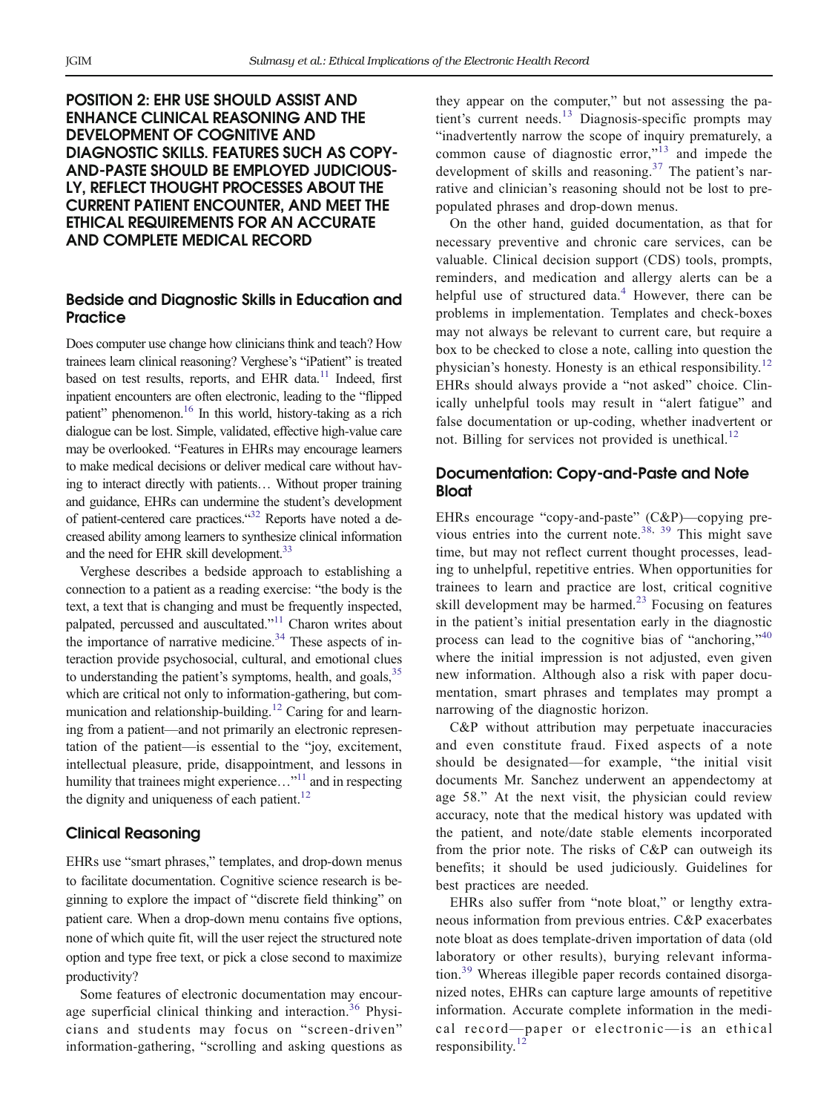# POSITION 2: EHR USE SHOULD ASSIST AND ENHANCE CLINICAL REASONING AND THE DEVELOPMENT OF COGNITIVE AND DIAGNOSTIC SKILLS. FEATURES SUCH AS COPY-AND-PASTE SHOULD BE EMPLOYED JUDICIOUS-LY, REFLECT THOUGHT PROCESSES ABOUT THE CURRENT PATIENT ENCOUNTER, AND MEET THE ETHICAL REQUIREMENTS FOR AN ACCURATE AND COMPLETE MEDICAL RECORD

## Bedside and Diagnostic Skills in Education and **Practice**

Does computer use change how clinicians think and teach? How trainees learn clinical reasoning? Verghese's "iPatient" is treated based on test results, reports, and EHR data.<sup>11</sup> Indeed, first inpatient encounters are often electronic, leading to the "flipped patient" phenomenon.<sup>16</sup> In this world, history-taking as a rich dialogue can be lost. Simple, validated, effective high-value care may be overlooked. "Features in EHRs may encourage learners to make medical decisions or deliver medical care without having to interact directly with patients… Without proper training and guidance, EHRs can undermine the student's development of patient-centered care practices."<sup>[32](#page-4-0)</sup> Reports have noted a decreased ability among learners to synthesize clinical information and the need for EHR skill development.<sup>33</sup>

Verghese describes a bedside approach to establishing a connection to a patient as a reading exercise: "the body is the text, a text that is changing and must be frequently inspected, palpated, percussed and auscultated."<sup>[11](#page-4-0)</sup> Charon writes about the importance of narrative medicine.<sup>34</sup> These aspects of interaction provide psychosocial, cultural, and emotional clues to understanding the patient's symptoms, health, and goals, <sup>[35](#page-4-0)</sup> which are critical not only to information-gathering, but communication and relationship-building.<sup>12</sup> Caring for and learning from a patient—and not primarily an electronic representation of the patient—is essential to the "joy, excitement, intellectual pleasure, pride, disappointment, and lessons in humility that trainees might experience..."<sup>[11](#page-4-0)</sup> and in respecting the dignity and uniqueness of each patient.<sup>[12](#page-4-0)</sup>

## Clinical Reasoning

EHRs use "smart phrases," templates, and drop-down menus to facilitate documentation. Cognitive science research is beginning to explore the impact of "discrete field thinking" on patient care. When a drop-down menu contains five options, none of which quite fit, will the user reject the structured note option and type free text, or pick a close second to maximize productivity?

Some features of electronic documentation may encour-age superficial clinical thinking and interaction.<sup>[36](#page-4-0)</sup> Physicians and students may focus on "screen-driven" information-gathering, "scrolling and asking questions as

they appear on the computer," but not assessing the pa-tient's current needs.<sup>[13](#page-4-0)</sup> Diagnosis-specific prompts may "inadvertently narrow the scope of inquiry prematurely, a common cause of diagnostic error,"<sup>[13](#page-4-0)</sup> and impede the development of skills and reasoning.[37](#page-4-0) The patient's narrative and clinician's reasoning should not be lost to prepopulated phrases and drop-down menus.

On the other hand, guided documentation, as that for necessary preventive and chronic care services, can be valuable. Clinical decision support (CDS) tools, prompts, reminders, and medication and allergy alerts can be a helpful use of structured data. $4$  However, there can be problems in implementation. Templates and check-boxes may not always be relevant to current care, but require a box to be checked to close a note, calling into question the physician's honesty. Honesty is an ethical responsibility.<sup>[12](#page-4-0)</sup> EHRs should always provide a "not asked" choice. Clinically unhelpful tools may result in "alert fatigue" and false documentation or up-coding, whether inadvertent or not. Billing for services not provided is unethical.<sup>[12](#page-4-0)</sup>

## Documentation: Copy-and-Paste and Note **Bloat**

EHRs encourage "copy-and-paste" (C&P)—copying pre-vious entries into the current note.<sup>[38,](#page-4-0) [39](#page-4-0)</sup> This might save time, but may not reflect current thought processes, leading to unhelpful, repetitive entries. When opportunities for trainees to learn and practice are lost, critical cognitive skill development may be harmed.<sup>[23](#page-4-0)</sup> Focusing on features in the patient's initial presentation early in the diagnostic process can lead to the cognitive bias of "anchoring,"<sup>[40](#page-4-0)</sup> where the initial impression is not adjusted, even given new information. Although also a risk with paper documentation, smart phrases and templates may prompt a narrowing of the diagnostic horizon.

C&P without attribution may perpetuate inaccuracies and even constitute fraud. Fixed aspects of a note should be designated—for example, "the initial visit documents Mr. Sanchez underwent an appendectomy at age 58." At the next visit, the physician could review accuracy, note that the medical history was updated with the patient, and note/date stable elements incorporated from the prior note. The risks of C&P can outweigh its benefits; it should be used judiciously. Guidelines for best practices are needed.

EHRs also suffer from "note bloat," or lengthy extraneous information from previous entries. C&P exacerbates note bloat as does template-driven importation of data (old laboratory or other results), burying relevant informa-tion.<sup>[39](#page-4-0)</sup> Whereas illegible paper records contained disorganized notes, EHRs can capture large amounts of repetitive information. Accurate complete information in the medical record—paper or electronic—is an ethical responsibility. $12$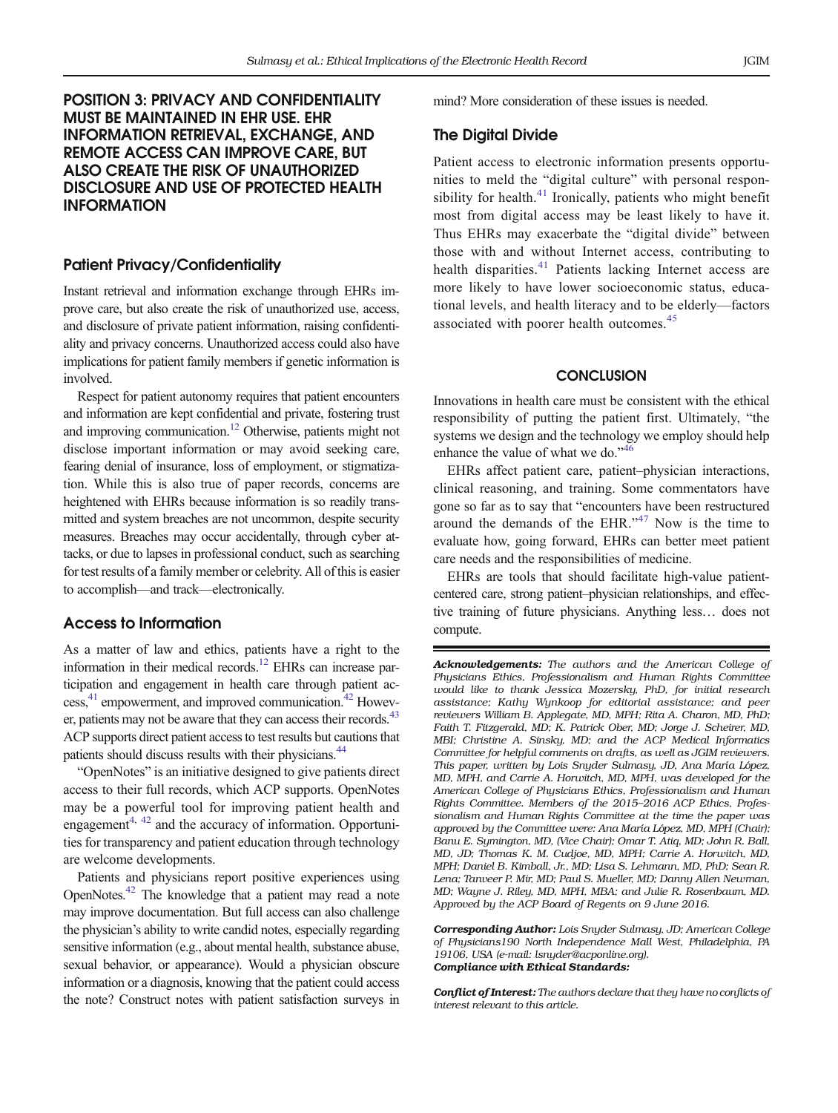# POSITION 3: PRIVACY AND CONFIDENTIALITY MUST BE MAINTAINED IN EHR USE. EHR INFORMATION RETRIEVAL, EXCHANGE, AND REMOTE ACCESS CAN IMPROVE CARE, BUT ALSO CREATE THE RISK OF UNAUTHORIZED DISCLOSURE AND USE OF PROTECTED HEALTH INFORMATION

#### Patient Privacy/Confidentiality

Instant retrieval and information exchange through EHRs improve care, but also create the risk of unauthorized use, access, and disclosure of private patient information, raising confidentiality and privacy concerns. Unauthorized access could also have implications for patient family members if genetic information is involved.

Respect for patient autonomy requires that patient encounters and information are kept confidential and private, fostering trust and improving communication.<sup>12</sup> Otherwise, patients might not disclose important information or may avoid seeking care, fearing denial of insurance, loss of employment, or stigmatization. While this is also true of paper records, concerns are heightened with EHRs because information is so readily transmitted and system breaches are not uncommon, despite security measures. Breaches may occur accidentally, through cyber attacks, or due to lapses in professional conduct, such as searching for test results of a family member or celebrity. All of this is easier to accomplish—and track—electronically.

## Access to Information

As a matter of law and ethics, patients have a right to the information in their medical records.<sup>12</sup> EHRs can increase participation and engagement in health care through patient ac- $cess, <sup>41</sup>$  $cess, <sup>41</sup>$  $cess, <sup>41</sup>$  empowerment, and improved communication.<sup>42</sup> However, patients may not be aware that they can access their records.<sup>43</sup> ACP supports direct patient access to test results but cautions that patients should discuss results with their physicians.<sup>44</sup>

"OpenNotes" is an initiative designed to give patients direct access to their full records, which ACP supports. OpenNotes may be a powerful tool for improving patient health and engagement $4, 42$  $4, 42$  $4, 42$  and the accuracy of information. Opportunities for transparency and patient education through technology are welcome developments.

Patients and physicians report positive experiences using OpenNotes[.42](#page-4-0) The knowledge that a patient may read a note may improve documentation. But full access can also challenge the physician's ability to write candid notes, especially regarding sensitive information (e.g., about mental health, substance abuse, sexual behavior, or appearance). Would a physician obscure information or a diagnosis, knowing that the patient could access the note? Construct notes with patient satisfaction surveys in mind? More consideration of these issues is needed.

#### The Digital Divide

Patient access to electronic information presents opportunities to meld the "digital culture" with personal respon-sibility for health.<sup>[41](#page-4-0)</sup> Ironically, patients who might benefit most from digital access may be least likely to have it. Thus EHRs may exacerbate the "digital divide" between those with and without Internet access, contributing to health disparities. $41$  Patients lacking Internet access are more likely to have lower socioeconomic status, educational levels, and health literacy and to be elderly—factors associated with poorer health outcomes.<sup>[45](#page-4-0)</sup>

#### **CONCLUSION**

Innovations in health care must be consistent with the ethical responsibility of putting the patient first. Ultimately, "the systems we design and the technology we employ should help enhance the value of what we do."[46](#page-4-0)

EHRs affect patient care, patient–physician interactions, clinical reasoning, and training. Some commentators have gone so far as to say that "encounters have been restructured around the demands of the EHR."[47](#page-4-0) Now is the time to evaluate how, going forward, EHRs can better meet patient care needs and the responsibilities of medicine.

EHRs are tools that should facilitate high-value patientcentered care, strong patient–physician relationships, and effective training of future physicians. Anything less… does not compute.

Acknowledgements: The authors and the American College of Physicians Ethics, Professionalism and Human Rights Committee would like to thank Jessica Mozersky, PhD, for initial research assistance; Kathy Wynkoop for editorial assistance; and peer reviewers William B. Applegate, MD, MPH; Rita A. Charon, MD, PhD; Faith T. Fitzgerald, MD; K. Patrick Ober, MD; Jorge J. Scheirer, MD, MBI; Christine A. Sinsky, MD; and the ACP Medical Informatics Committee for helpful comments on drafts, as well as JGIM reviewers. This paper, written by Lois Snyder Sulmasy, JD, Ana María López, MD, MPH, and Carrie A. Horwitch, MD, MPH, was developed for the American College of Physicians Ethics, Professionalism and Human Rights Committee. Members of the 2015–2016 ACP Ethics, Professionalism and Human Rights Committee at the time the paper was approved by the Committee were: Ana María López, MD, MPH (Chair); Banu E. Symington, MD, (Vice Chair); Omar T. Atiq, MD; John R. Ball, MD, JD; Thomas K. M. Cudjoe, MD, MPH; Carrie A. Horwitch, MD, MPH; Daniel B. Kimball, Jr., MD; Lisa S. Lehmann, MD, PhD; Sean R. Lena; Tanveer P. Mir, MD; Paul S. Mueller, MD; Danny Allen Newman, MD; Wayne J. Riley, MD, MPH, MBA; and Julie R. Rosenbaum, MD. Approved by the ACP Board of Regents on 9 June 2016.

Corresponding Author: Lois Snyder Sulmasy, JD; American College of Physicians190 North Independence Mall West, Philadelphia, PA 19106, USA (e-mail: lsnyder@acponline.org). Compliance with Ethical Standards:

Conflict of Interest: The authors declare that they have no conflicts of interest relevant to this article.